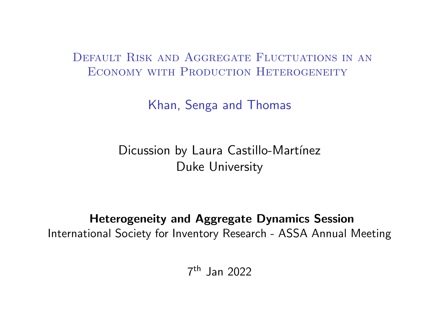DEFAULT RISK AND AGGREGATE FLUCTUATIONS IN AN ECONOMY WITH PRODUCTION HETEROGENEITY

Khan, Senga and Thomas

Dicussion by Laura Castillo-Martínez Duke University

Heterogeneity and Aggregate Dynamics Session International Society for Inventory Research - ASSA Annual Meeting

7 th Jan 2022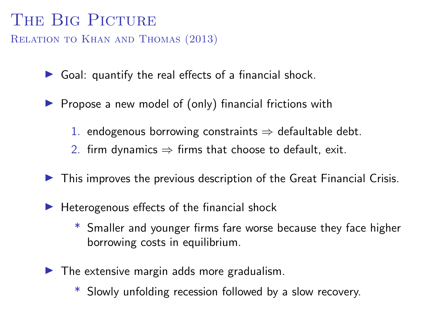## THE BIG PICTURE

Relation to Khan and Thomas (2013)

 $\triangleright$  Goal: quantify the real effects of a financial shock.

- $\blacktriangleright$  Propose a new model of (only) financial frictions with
	- 1. endogenous borrowing constraints  $\Rightarrow$  defaultable debt.
	- 2. firm dynamics  $\Rightarrow$  firms that choose to default, exit.
- $\blacktriangleright$  This improves the previous description of the Great Financial Crisis.
- $\blacktriangleright$  Heterogenous effects of the financial shock
	- Smaller and younger firms fare worse because they face higher borrowing costs in equilibrium.
- $\blacktriangleright$  The extensive margin adds more gradualism.
	- \* Slowly unfolding recession followed by a slow recovery.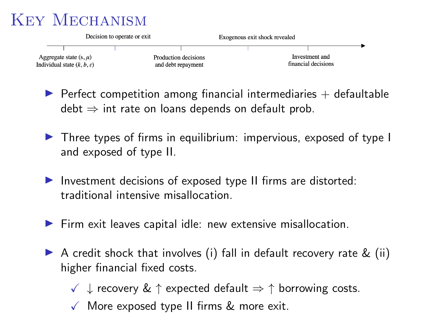# Key Mechanism



 $\blacktriangleright$  Perfect competition among financial intermediaries  $+$  defaultable  $\text{debt} \Rightarrow \text{int rate on loans depends on default prob.}$ 

- $\triangleright$  Three types of firms in equilibrium: impervious, exposed of type I and exposed of type II.
- Investment decisions of exposed type II firms are distorted: traditional intensive misallocation.
- $\blacktriangleright$  Firm exit leaves capital idle: new extensive misallocation.
- A credit shock that involves (i) fall in default recovery rate  $\&$  (ii) higher financial fixed costs.
	- $\checkmark$   $\downarrow$  recovery &  $\uparrow$  expected default  $\Rightarrow \uparrow$  borrowing costs.
	- $\sqrt{\ }$  More exposed type II firms & more exit.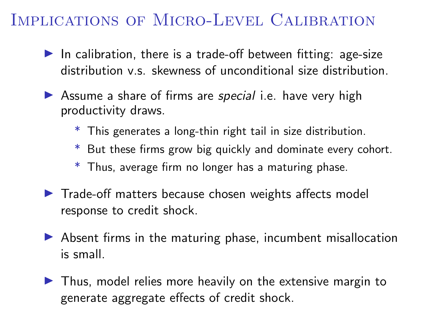## Implications of Micro-Level Calibration

- In calibration, there is a trade-off between fitting: age-size distribution v.s. skewness of unconditional size distribution.
- $\triangleright$  Assume a share of firms are special i.e. have very high productivity draws.
	- \* This generates a long-thin right tail in size distribution.
	- \* But these firms grow big quickly and dominate every cohort.
	- \* Thus, average firm no longer has a maturing phase.
- $\blacktriangleright$  Trade-off matters because chosen weights affects model response to credit shock.
- $\triangleright$  Absent firms in the maturing phase, incumbent misallocation is small.
- $\blacktriangleright$  Thus, model relies more heavily on the extensive margin to generate aggregate effects of credit shock.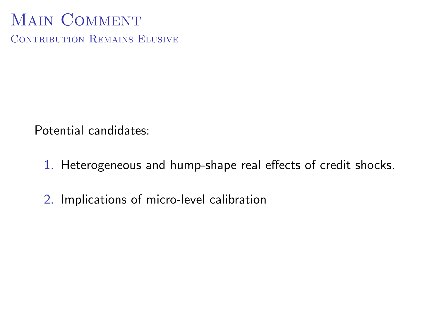# MAIN COMMENT

CONTRIBUTION REMAINS ELUSIVE

Potential candidates:

- 1. Heterogeneous and hump-shape real effects of credit shocks.
- 2. Implications of micro-level calibration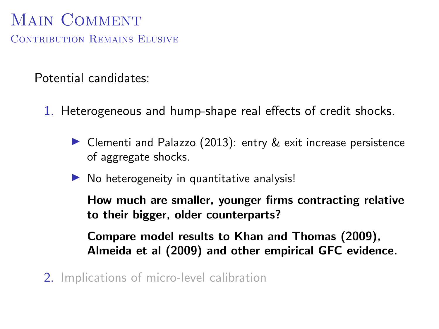# MAIN COMMENT

CONTRIBUTION REMAINS ELUSIVE

Potential candidates:

- 1. Heterogeneous and hump-shape real effects of credit shocks.
	- $\triangleright$  Clementi and Palazzo (2013): entry  $\&$  exit increase persistence of aggregate shocks.
	- $\triangleright$  No heterogeneity in quantitative analysis!

How much are smaller, younger firms contracting relative to their bigger, older counterparts?

Compare model results to Khan and Thomas (2009), Almeida et al (2009) and other empirical GFC evidence.

2. Implications of micro-level calibration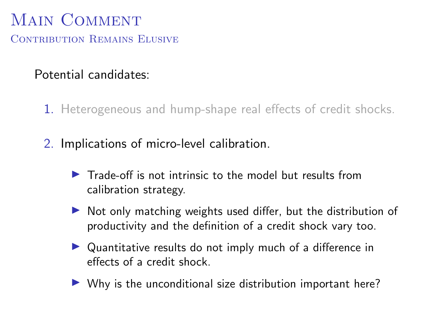## MAIN COMMENT CONTRIBUTION REMAINS ELUSIVE

#### Potential candidates:

- 1. Heterogeneous and hump-shape real effects of credit shocks.
- 2. Implications of micro-level calibration.
	- $\blacktriangleright$  Trade-off is not intrinsic to the model but results from calibration strategy.
	- $\triangleright$  Not only matching weights used differ, but the distribution of productivity and the definition of a credit shock vary too.
	- $\triangleright$  Quantitative results do not imply much of a difference in effects of a credit shock.
	- $\triangleright$  Why is the unconditional size distribution important here?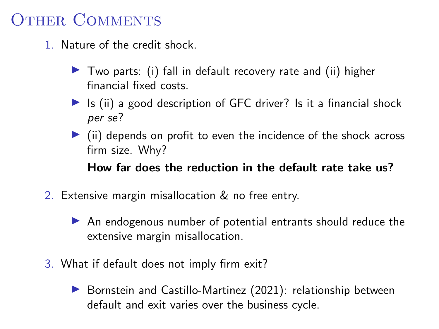# OTHER COMMENTS

- 1. Nature of the credit shock.
	- $\triangleright$  Two parts: (i) fall in default recovery rate and (ii) higher financial fixed costs.
	- $\triangleright$  Is (ii) a good description of GFC driver? Is it a financial shock per se?
	- $\triangleright$  (ii) depends on profit to even the incidence of the shock across firm size. Why?

How far does the reduction in the default rate take us?

- 2. Extensive margin misallocation & no free entry.
	- $\triangleright$  An endogenous number of potential entrants should reduce the extensive margin misallocation.
- 3. What if default does not imply firm exit?
	- $\triangleright$  Bornstein and Castillo-Martinez (2021): relationship between default and exit varies over the business cycle.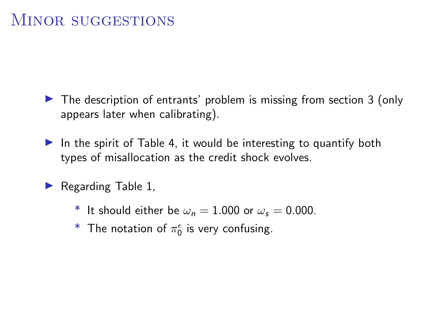- $\triangleright$  The description of entrants' problem is missing from section 3 (only appears later when calibrating).
- In the spirit of Table 4, it would be interesting to quantify both types of misallocation as the credit shock evolves.
- $\blacktriangleright$  Regarding Table 1,
	- \* It should either be  $\omega_n = 1.000$  or  $\omega_s = 0.000$ .
	- $^*$  The notation of  $\pi_0^\epsilon$  is very confusing.